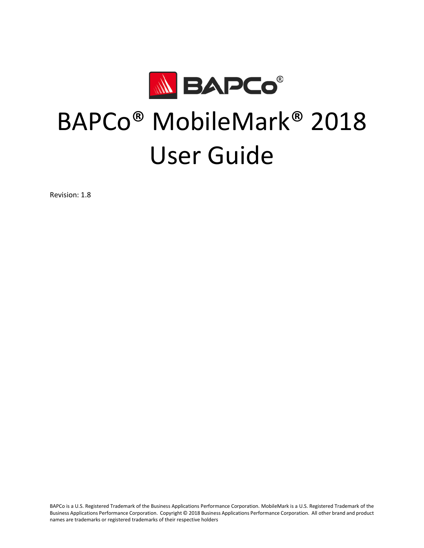

# BAPCo® MobileMark® 2018 User Guide

Revision: 1.8

BAPCo is a U.S. Registered Trademark of the Business Applications Performance Corporation. MobileMark is a U.S. Registered Trademark of the Business Applications Performance Corporation. Copyright © 2018 Business Applications Performance Corporation. All other brand and product names are trademarks or registered trademarks of their respective holders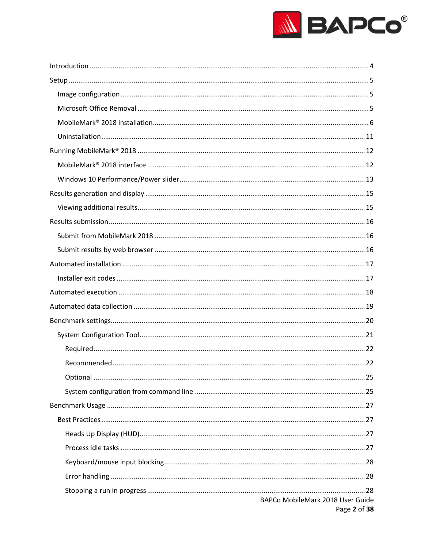

| BAPCo MobileMark 2018 User Guide<br>Page 2 of 38 |
|--------------------------------------------------|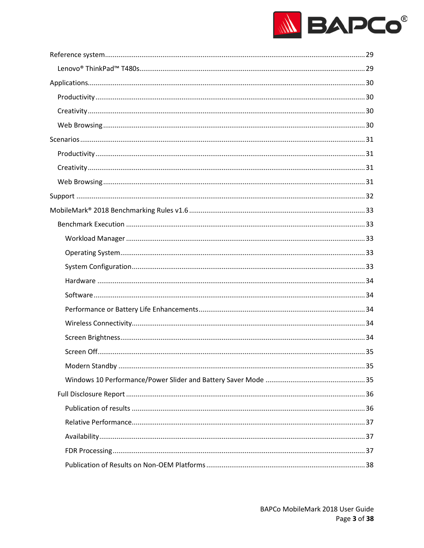## MA BAPCO®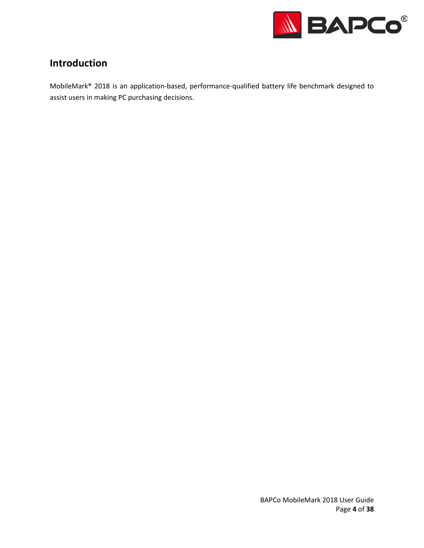

## <span id="page-3-0"></span>**Introduction**

MobileMark® 2018 is an application-based, performance-qualified battery life benchmark designed to assist users in making PC purchasing decisions.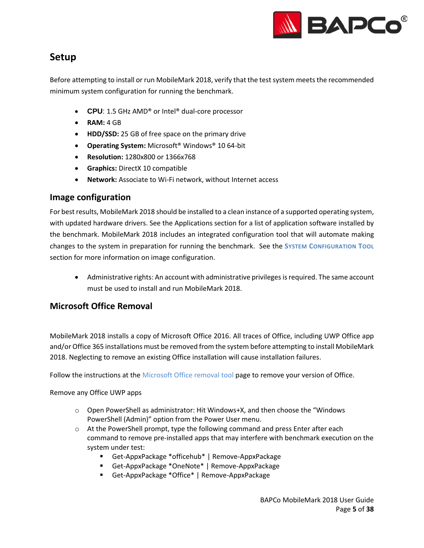

## <span id="page-4-0"></span>**Setup**

Before attempting to install or run MobileMark 2018, verify that the test system meets the recommended minimum system configuration for running the benchmark.

- **CPU**: 1.5 GHz AMD® or Intel® dual-core processor
- **RAM:** 4 GB
- **HDD/SSD:** 25 GB of free space on the primary drive
- **Operating System:** Microsoft® Windows® 10 64-bit
- **Resolution:** 1280x800 or 1366x768
- **Graphics:** DirectX 10 compatible
- **Network:** Associate to Wi-Fi network, without Internet access

## <span id="page-4-1"></span>**Image configuration**

For best results, MobileMark 2018 should be installed to a clean instance of a supported operating system, with updated hardware drivers. See the Applications section for a list of application software installed by the benchmark. MobileMark 2018 includes an integrated configuration tool that will automate making changes to the system in preparation for running the benchmark. See the **SYSTEM C[ONFIGURATION](#page-20-0) TOOL** section for more information on image configuration.

• Administrative rights: An account with administrative privileges is required. The same account must be used to install and run MobileMark 2018.

## <span id="page-4-2"></span>**Microsoft Office Removal**

MobileMark 2018 installs a copy of Microsoft Office 2016. All traces of Office, including UWP Office app and/or Office 365 installations must be removed from the system before attempting to install MobileMark 2018. Neglecting to remove an existing Office installation will cause installation failures.

Follow the instructions at th[e Microsoft Office removal tool](https://support.office.com/en-us/article/uninstall-office-from-a-pc-9dd49b83-264a-477a-8fcc-2fdf5dbf61d8?ui=en-US&rs=en-US&ad=US) page to remove your version of Office.

Remove any Office UWP apps

- o Open PowerShell as administrator: Hit Windows+X, and then choose the "Windows PowerShell (Admin)" option from the Power User menu.
- $\circ$  At the PowerShell prompt, type the following command and press Enter after each command to remove pre-installed apps that may interfere with benchmark execution on the system under test:
	- Get-AppxPackage \*officehub\* | Remove-AppxPackage
	- Get-AppxPackage \*OneNote\* | Remove-AppxPackage
	- Get-AppxPackage \*Office\* | Remove-AppxPackage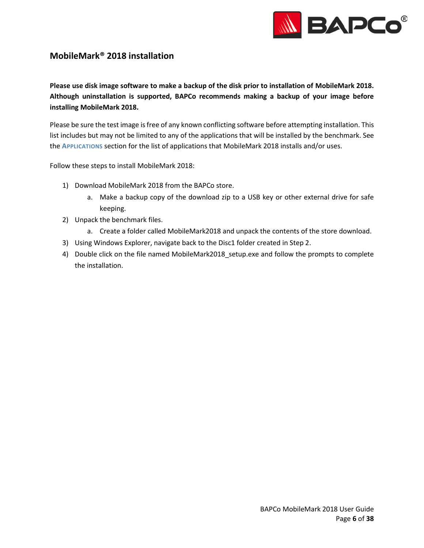

## <span id="page-5-0"></span>**MobileMark® 2018 installation**

**Please use disk image software to make a backup of the disk prior to installation of MobileMark 2018. Although uninstallation is supported, BAPCo recommends making a backup of your image before installing MobileMark 2018.**

Please be sure the test image is free of any known conflicting software before attempting installation. This list includes but may not be limited to any of the applications that will be installed by the benchmark. See the **A[PPLICATIONS](#page-29-0)** section for the list of applications that MobileMark 2018 installs and/or uses.

Follow these steps to install MobileMark 2018:

- 1) Download MobileMark 2018 from the BAPCo store.
	- a. Make a backup copy of the download zip to a USB key or other external drive for safe keeping.
- 2) Unpack the benchmark files.
	- a. Create a folder called MobileMark2018 and unpack the contents of the store download.
- 3) Using Windows Explorer, navigate back to the Disc1 folder created in Step 2.
- 4) Double click on the file named MobileMark2018 setup.exe and follow the prompts to complete the installation.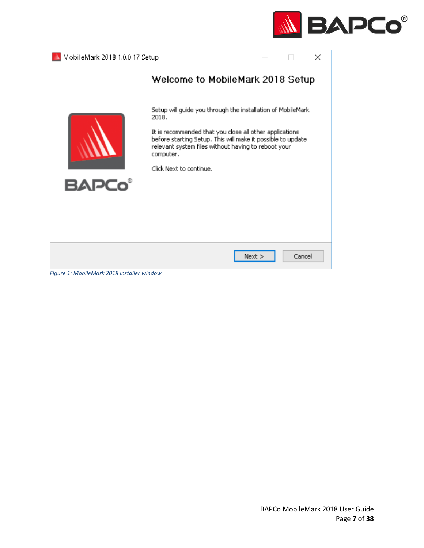

| MobileMark 2018 1.0.0.17 Setup<br>×        |                                                                                                                                                                                            |  |  |  |
|--------------------------------------------|--------------------------------------------------------------------------------------------------------------------------------------------------------------------------------------------|--|--|--|
|                                            | Welcome to MobileMark 2018 Setup                                                                                                                                                           |  |  |  |
|                                            | Setup will guide you through the installation of MobileMark<br>2018.                                                                                                                       |  |  |  |
|                                            | It is recommended that you close all other applications<br>before starting Setup. This will make it possible to update<br>relevant system files without having to reboot your<br>computer. |  |  |  |
|                                            | Click Next to continue.                                                                                                                                                                    |  |  |  |
| <b>BAPCo®</b>                              |                                                                                                                                                                                            |  |  |  |
|                                            |                                                                                                                                                                                            |  |  |  |
|                                            |                                                                                                                                                                                            |  |  |  |
|                                            |                                                                                                                                                                                            |  |  |  |
|                                            | Cancel<br>Next                                                                                                                                                                             |  |  |  |
| Figure 1: MobileMark 2018 installer window |                                                                                                                                                                                            |  |  |  |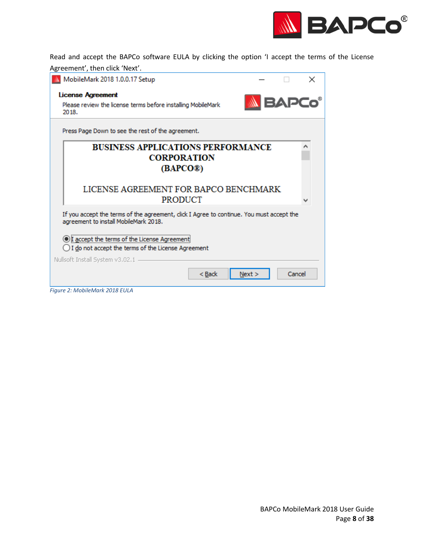

Read and accept the BAPCo software EULA by clicking the option 'I accept the terms of the License Agreement', then click 'Next'.

| ARICCHICIII, LIICII CIICK IVEXL.                                                                                                  |      |               |   |
|-----------------------------------------------------------------------------------------------------------------------------------|------|---------------|---|
| MobileMark 2018 1.0.0.17 Setup                                                                                                    |      |               | × |
| License Agreement                                                                                                                 |      |               |   |
| Please review the license terms before installing MobileMark<br>2018.                                                             |      | <b>BAPCo®</b> |   |
| Press Page Down to see the rest of the agreement.                                                                                 |      |               |   |
| <b>BUSINESS APPLICATIONS PERFORMANCE</b><br><b>CORPORATION</b><br>(BAPCO <sup>®</sup> )                                           |      |               |   |
| LICENSE AGREEMENT FOR BAPCO BENCHMARK<br><b>PRODUCT</b>                                                                           |      |               |   |
| If you accept the terms of the agreement, click I Agree to continue. You must accept the<br>agreement to install MobileMark 2018. |      |               |   |
| I accept the terms of the License Agreement<br>$\bigcirc$ I do not accept the terms of the License Agreement                      |      |               |   |
| Nullsoft Install System v3.02.1                                                                                                   |      |               |   |
| < Back                                                                                                                            | Next | Cancel        |   |
| Figure 2: MobileMark 2018 EULA                                                                                                    |      |               |   |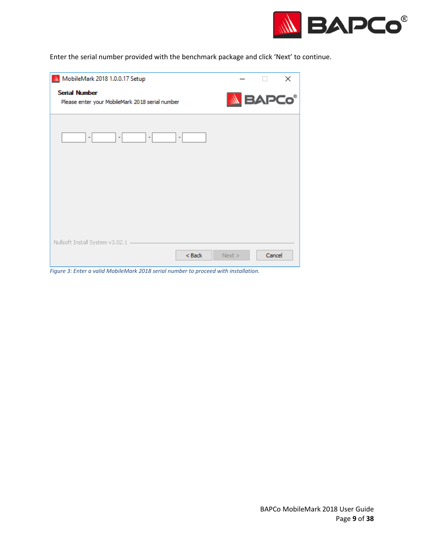

Enter the serial number provided with the benchmark package and click 'Next' to continue.

| MobileMark 2018 1.0.0.17 Setup                                          |                  |        | × |
|-------------------------------------------------------------------------|------------------|--------|---|
| <b>Serial Number</b><br>Please enter your MobileMark 2018 serial number | <b>AN</b> BAPCo® |        |   |
| ۰<br>$\blacksquare$<br>۰<br>۰                                           |                  |        |   |
|                                                                         |                  |        |   |
|                                                                         |                  |        |   |
| Nullsoft Install System v3.02.1<br>$<$ Back                             | Next >           | Cancel |   |

*Figure 3: Enter a valid MobileMark 2018 serial number to proceed with installation.*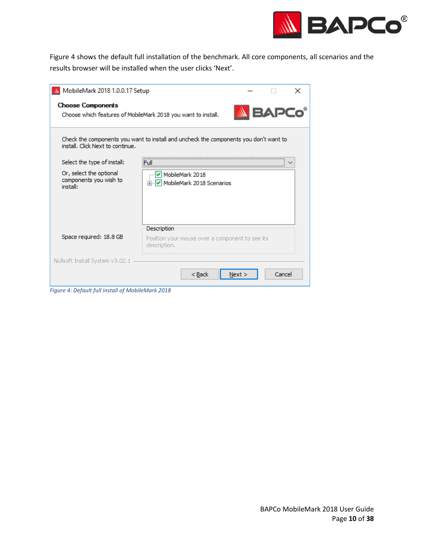

Figure 4 shows the default full installation of the benchmark. All core components, all scenarios and the results browser will be installed when the user clicks 'Next'.

| MobileMark 2018 1.0.0.17 Setup<br>×                                                                        |                                                                                       |      |        |  |  |
|------------------------------------------------------------------------------------------------------------|---------------------------------------------------------------------------------------|------|--------|--|--|
| <b>Choose Components</b><br><b>BAPCo®</b><br>Choose which features of MobileMark 2018 you want to install. |                                                                                       |      |        |  |  |
| install. Click Next to continue.                                                                           | Check the components you want to install and uncheck the components you don't want to |      |        |  |  |
| Select the type of install:                                                                                | Ful                                                                                   |      |        |  |  |
| Or, select the optional<br>components you wish to<br>install:                                              | MobileMark 2018<br>MobileMark 2018 Scenarios<br>田                                     |      |        |  |  |
|                                                                                                            | Description                                                                           |      |        |  |  |
| Space required: 18.8 GB                                                                                    | Position your mouse over a component to see its<br>description.                       |      |        |  |  |
| Nullsoft Install System v3.02.1                                                                            |                                                                                       |      |        |  |  |
|                                                                                                            | < Back                                                                                | Next | Cancel |  |  |

*Figure 4: Default full install of MobileMark 2018*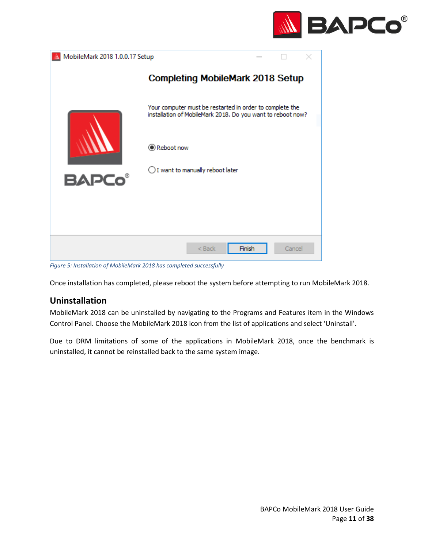



*Figure 5: Installation of MobileMark 2018 has completed successfully*

<span id="page-10-0"></span>Once installation has completed, please reboot the system before attempting to run MobileMark 2018.

#### **Uninstallation**

MobileMark 2018 can be uninstalled by navigating to the Programs and Features item in the Windows Control Panel. Choose the MobileMark 2018 icon from the list of applications and select 'Uninstall'.

Due to DRM limitations of some of the applications in MobileMark 2018, once the benchmark is uninstalled, it cannot be reinstalled back to the same system image.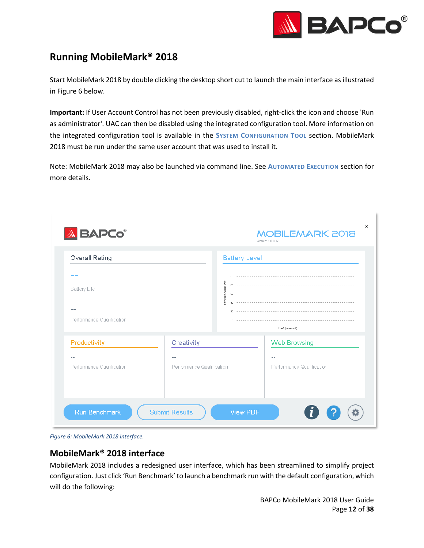

## <span id="page-11-0"></span>**Running MobileMark® 2018**

Start MobileMark 2018 by double clicking the desktop short cut to launch the main interface as illustrated in Figure 6 below.

**Important:** If User Account Control has not been previously disabled, right-click the icon and choose 'Run as administrator'. UAC can then be disabled using the integrated configuration tool. More information on the integrated configuration tool is available in the **SYSTEM C[ONFIGURATION](#page-20-0) TOOL** section. MobileMark 2018 must be run under the same user account that was used to install it.

Note: MobileMark 2018 may also be launched via command line. See **A[UTOMATED](#page-17-0) EXECUTION** section for more details.

| Overall Rating                                     |                           | <b>Battery Level</b>                                      |                           |
|----------------------------------------------------|---------------------------|-----------------------------------------------------------|---------------------------|
| <b>The Co</b><br>Battery Life<br><b>CONTRACTOR</b> |                           | 100<br>Sattery Charge (%)<br>$80 -$<br>60<br>40<br>$20 -$ |                           |
| Performance Qualification                          |                           | o.                                                        | Time (minutes)            |
| Productivity                                       | Creativity                |                                                           | <b>Web Browsing</b>       |
| $ -$                                               |                           |                                                           | $ -$                      |
| Performance Qualification                          | Performance Qualification |                                                           | Performance Qualification |



## <span id="page-11-1"></span>**MobileMark® 2018 interface**

MobileMark 2018 includes a redesigned user interface, which has been streamlined to simplify project configuration. Just click 'Run Benchmark' to launch a benchmark run with the default configuration, which will do the following: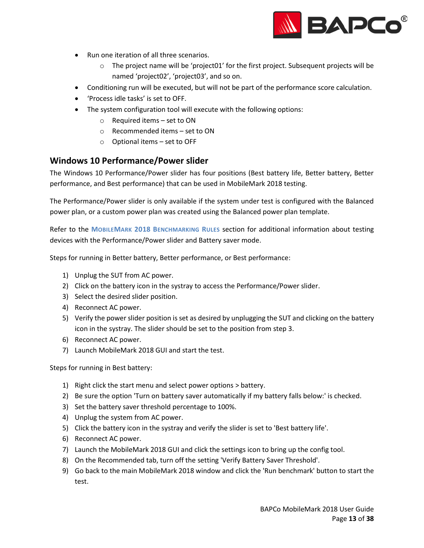

- Run one iteration of all three scenarios.
	- $\circ$  The project name will be 'project01' for the first project. Subsequent projects will be named 'project02', 'project03', and so on.
- Conditioning run will be executed, but will not be part of the performance score calculation.
- 'Process idle tasks' is set to OFF.
- The system configuration tool will execute with the following options:
	- o Required items set to ON
	- o Recommended items set to ON
	- o Optional items set to OFF

#### <span id="page-12-0"></span>**Windows 10 Performance/Power slider**

The Windows 10 Performance/Power slider has four positions (Best battery life, Better battery, Better performance, and Best performance) that can be used in MobileMark 2018 testing.

The Performance/Power slider is only available if the system under test is configured with the Balanced power plan, or a custom power plan was created using the Balanced power plan template.

Refer to the **MOBILEMARK 2018 B[ENCHMARKING](#page-32-0) RULES** section for additional information about testing devices with the Performance/Power slider and Battery saver mode.

Steps for running in Better battery, Better performance, or Best performance:

- 1) Unplug the SUT from AC power.
- 2) Click on the battery icon in the systray to access the Performance/Power slider.
- 3) Select the desired slider position.
- 4) Reconnect AC power.
- 5) Verify the power slider position is set as desired by unplugging the SUT and clicking on the battery icon in the systray. The slider should be set to the position from step 3.
- 6) Reconnect AC power.
- 7) Launch MobileMark 2018 GUI and start the test.

Steps for running in Best battery:

- 1) Right click the start menu and select power options > battery.
- 2) Be sure the option 'Turn on battery saver automatically if my battery falls below:' is checked.
- 3) Set the battery saver threshold percentage to 100%.
- 4) Unplug the system from AC power.
- 5) Click the battery icon in the systray and verify the slider is set to 'Best battery life'.
- 6) Reconnect AC power.
- 7) Launch the MobileMark 2018 GUI and click the settings icon to bring up the config tool.
- 8) On the Recommended tab, turn off the setting 'Verify Battery Saver Threshold'.
- 9) Go back to the main MobileMark 2018 window and click the 'Run benchmark' button to start the test.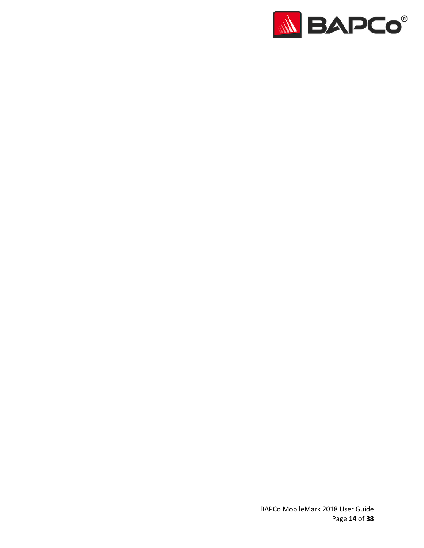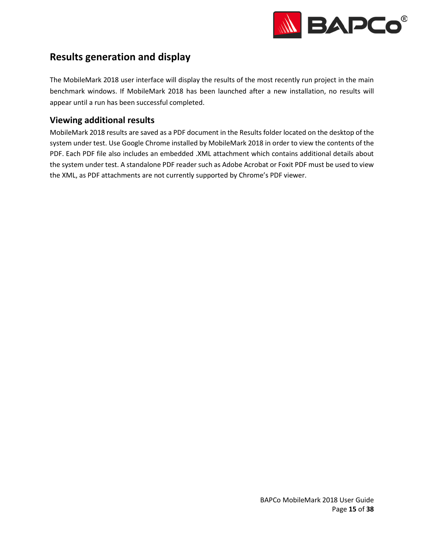

## <span id="page-14-0"></span>**Results generation and display**

The MobileMark 2018 user interface will display the results of the most recently run project in the main benchmark windows. If MobileMark 2018 has been launched after a new installation, no results will appear until a run has been successful completed.

## <span id="page-14-1"></span>**Viewing additional results**

MobileMark 2018 results are saved as a PDF document in the Results folder located on the desktop of the system under test. Use Google Chrome installed by MobileMark 2018 in order to view the contents of the PDF. Each PDF file also includes an embedded .XML attachment which contains additional details about the system under test. A standalone PDF reader such as Adobe Acrobat or Foxit PDF must be used to view the XML, as PDF attachments are not currently supported by Chrome's PDF viewer.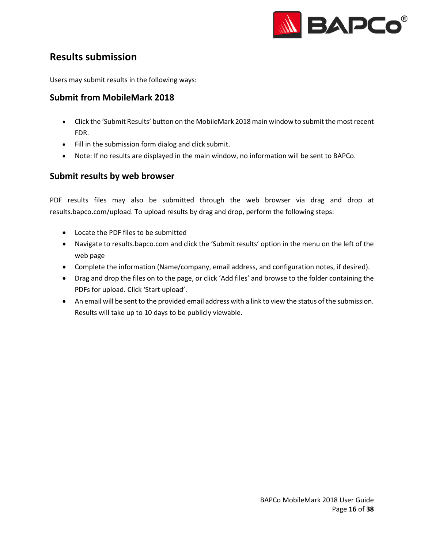

## <span id="page-15-0"></span>**Results submission**

Users may submit results in the following ways:

## <span id="page-15-1"></span>**Submit from MobileMark 2018**

- Click the 'Submit Results' button on the MobileMark 2018 main window to submit the most recent FDR.
- Fill in the submission form dialog and click submit.
- Note: If no results are displayed in the main window, no information will be sent to BAPCo.

## <span id="page-15-2"></span>**Submit results by web browser**

PDF results files may also be submitted through the web browser via drag and drop at results.bapco.com/upload. To upload results by drag and drop, perform the following steps:

- Locate the PDF files to be submitted
- Navigate to results.bapco.com and click the 'Submit results' option in the menu on the left of the web page
- Complete the information (Name/company, email address, and configuration notes, if desired).
- Drag and drop the files on to the page, or click 'Add files' and browse to the folder containing the PDFs for upload. Click 'Start upload'.
- An email will be sent to the provided email address with a link to view the status of the submission. Results will take up to 10 days to be publicly viewable.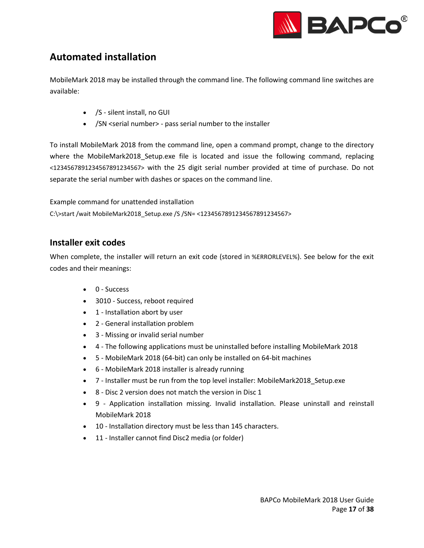

## <span id="page-16-0"></span>**Automated installation**

MobileMark 2018 may be installed through the command line. The following command line switches are available:

- /S silent install, no GUI
- /SN <serial number> pass serial number to the installer

To install MobileMark 2018 from the command line, open a command prompt, change to the directory where the MobileMark2018\_Setup.exe file is located and issue the following command, replacing <1234567891234567891234567> with the 25 digit serial number provided at time of purchase. Do not separate the serial number with dashes or spaces on the command line.

Example command for unattended installation C:\>start /wait MobileMark2018\_Setup.exe /S /SN= <1234567891234567891234567>

## <span id="page-16-1"></span>**Installer exit codes**

When complete, the installer will return an exit code (stored in %ERRORLEVEL%). See below for the exit codes and their meanings:

- 0 Success
- 3010 Success, reboot required
- 1 Installation abort by user
- 2 General installation problem
- 3 Missing or invalid serial number
- 4 The following applications must be uninstalled before installing MobileMark 2018
- 5 MobileMark 2018 (64-bit) can only be installed on 64-bit machines
- 6 MobileMark 2018 installer is already running
- 7 Installer must be run from the top level installer: MobileMark2018\_Setup.exe
- 8 Disc 2 version does not match the version in Disc 1
- 9 Application installation missing. Invalid installation. Please uninstall and reinstall MobileMark 2018
- 10 Installation directory must be less than 145 characters.
- 11 Installer cannot find Disc2 media (or folder)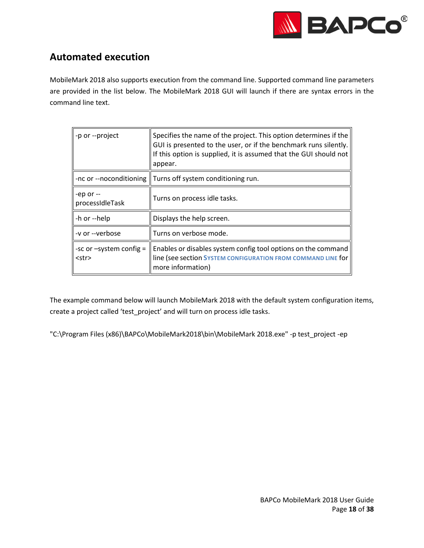

## <span id="page-17-0"></span>**Automated execution**

MobileMark 2018 also supports execution from the command line. Supported command line parameters are provided in the list below. The MobileMark 2018 GUI will launch if there are syntax errors in the command line text.

| -p or --project                        | Specifies the name of the project. This option determines if the<br>GUI is presented to the user, or if the benchmark runs silently.<br>If this option is supplied, it is assumed that the GUI should not<br>appear. |
|----------------------------------------|----------------------------------------------------------------------------------------------------------------------------------------------------------------------------------------------------------------------|
|                                        | -nc or --noconditioning    Turns off system conditioning run.                                                                                                                                                        |
| -ep or --<br>processidleTask           | Turns on process idle tasks.                                                                                                                                                                                         |
| -h or --help                           | Displays the help screen.                                                                                                                                                                                            |
| -v or --verbose                        | Turns on verbose mode.                                                                                                                                                                                               |
| -sc or -system config =<br>$<$ str $>$ | Enables or disables system config tool options on the command<br>line (see section SYSTEM CONFIGURATION FROM COMMAND LINE for<br>more information)                                                                   |

The example command below will launch MobileMark 2018 with the default system configuration items, create a project called 'test\_project' and will turn on process idle tasks.

"C:\Program Files (x86)\BAPCo\MobileMark2018\bin\MobileMark 2018.exe" -p test\_project -ep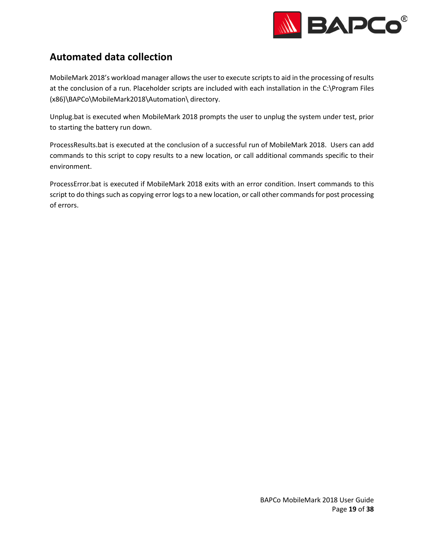

## <span id="page-18-0"></span>**Automated data collection**

MobileMark 2018's workload manager allows the user to execute scripts to aid in the processing of results at the conclusion of a run. Placeholder scripts are included with each installation in the C:\Program Files (x86)\BAPCo\MobileMark2018\Automation\ directory.

Unplug.bat is executed when MobileMark 2018 prompts the user to unplug the system under test, prior to starting the battery run down.

ProcessResults.bat is executed at the conclusion of a successful run of MobileMark 2018. Users can add commands to this script to copy results to a new location, or call additional commands specific to their environment.

ProcessError.bat is executed if MobileMark 2018 exits with an error condition. Insert commands to this script to do things such as copying error logs to a new location, or call other commands for post processing of errors.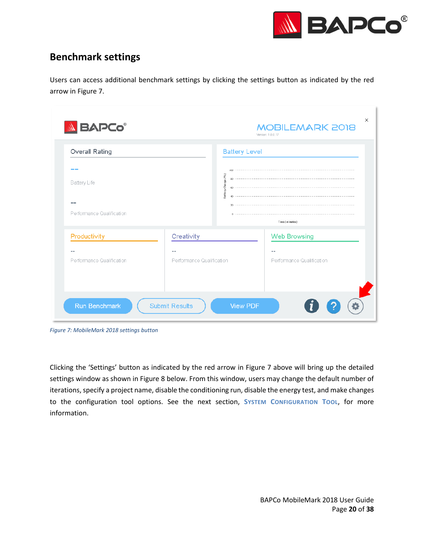

## <span id="page-19-0"></span>**Benchmark settings**

Users can access additional benchmark settings by clicking the settings button as indicated by the red arrow in Figure 7.

| Overall Rating            |                           | <b>Battery Level</b>            |                           |
|---------------------------|---------------------------|---------------------------------|---------------------------|
| --                        |                           |                                 |                           |
| Battery Life              |                           | Battery Charge (%)<br>SO.<br>60 |                           |
| $- -$                     |                           | 20.                             |                           |
| Performance Qualification |                           |                                 |                           |
|                           |                           |                                 | Time (minutes)            |
| Productivity              | Creativity                |                                 | <b>Web Browsing</b>       |
| $\sim$ $\sim$             | --                        |                                 |                           |
| Performance Qualification | Performance Qualification |                                 | Performance Qualification |
|                           |                           |                                 |                           |

*Figure 7: MobileMark 2018 settings button*

Clicking the 'Settings' button as indicated by the red arrow in Figure 7 above will bring up the detailed settings window as shown in Figure 8 below. From this window, users may change the default number of iterations, specify a project name, disable the conditioning run, disable the energy test, and make changes to the configuration tool options. See the next section, **SYSTEM C[ONFIGURATION](#page-20-0) TOOL**, for more information.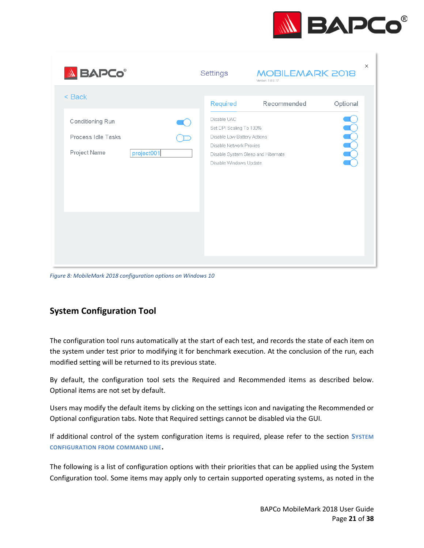

| <b>BAPCo</b> ®                                                                   | Settings                                                                                                                                                                     | <b>MOBILEMARK 2018</b><br>Version: 1.0.0.17 | $\times$           |
|----------------------------------------------------------------------------------|------------------------------------------------------------------------------------------------------------------------------------------------------------------------------|---------------------------------------------|--------------------|
| $8$ Back<br>Conditioning Run<br>Process Idle Tasks<br>Project Name<br>project001 | Required<br>Disable UAC<br>Set DPI Scaling To 100%<br>Disable Low Battery Actions<br>Disable Network Proxies<br>Disable System Sleep and Hibernate<br>Disable Windows Update | Recommended                                 | Optional<br>555555 |
|                                                                                  |                                                                                                                                                                              |                                             |                    |

*Figure 8: MobileMark 2018 configuration options on Windows 10*

## <span id="page-20-0"></span>**System Configuration Tool**

The configuration tool runs automatically at the start of each test, and records the state of each item on the system under test prior to modifying it for benchmark execution. At the conclusion of the run, each modified setting will be returned to its previous state.

By default, the configuration tool sets the Required and Recommended items as described below. Optional items are not set by default.

Users may modify the default items by clicking on the settings icon and navigating the Recommended or Optional configuration tabs. Note that Required settings cannot be disabled via the GUI.

If additional control of the system configuration items is required, please refer to the section **S[YSTEM](#page-24-1)  [CONFIGURATION FROM COMMAND LINE](#page-24-1).**

The following is a list of configuration options with their priorities that can be applied using the System Configuration tool. Some items may apply only to certain supported operating systems, as noted in the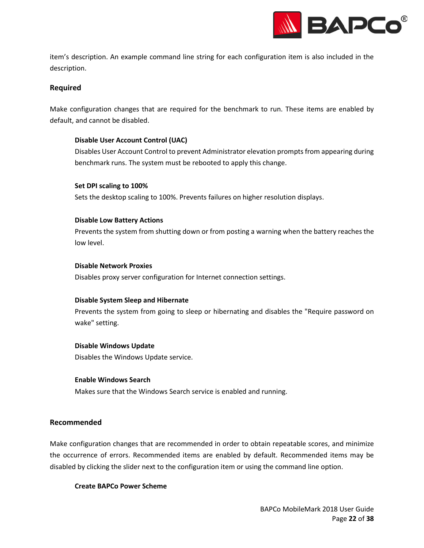

item's description. An example command line string for each configuration item is also included in the description.

#### <span id="page-21-0"></span>**Required**

Make configuration changes that are required for the benchmark to run. These items are enabled by default, and cannot be disabled.

#### **Disable User Account Control (UAC)**

Disables User Account Control to prevent Administrator elevation prompts from appearing during benchmark runs. The system must be rebooted to apply this change.

#### **Set DPI scaling to 100%**

Sets the desktop scaling to 100%. Prevents failures on higher resolution displays.

#### **Disable Low Battery Actions**

Prevents the system from shutting down or from posting a warning when the battery reaches the low level.

#### **Disable Network Proxies**

Disables proxy server configuration for Internet connection settings.

#### **Disable System Sleep and Hibernate**

Prevents the system from going to sleep or hibernating and disables the "Require password on wake" setting.

#### **Disable Windows Update**

Disables the Windows Update service.

#### **Enable Windows Search**

Makes sure that the Windows Search service is enabled and running.

#### <span id="page-21-1"></span>**Recommended**

Make configuration changes that are recommended in order to obtain repeatable scores, and minimize the occurrence of errors. Recommended items are enabled by default. Recommended items may be disabled by clicking the slider next to the configuration item or using the command line option.

#### **Create BAPCo Power Scheme**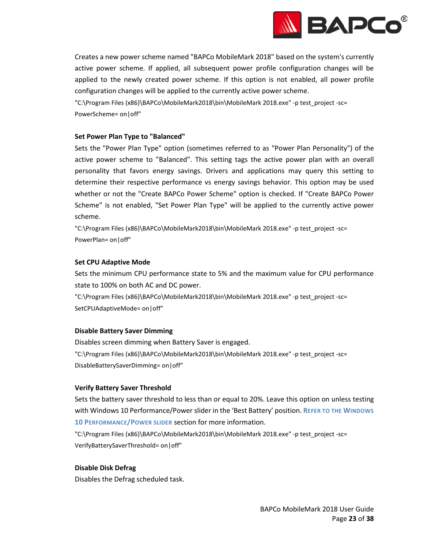

Creates a new power scheme named "BAPCo MobileMark 2018" based on the system's currently active power scheme. If applied, all subsequent power profile configuration changes will be applied to the newly created power scheme. If this option is not enabled, all power profile configuration changes will be applied to the currently active power scheme.

"C:\Program Files (x86)\BAPCo\MobileMark2018\bin\MobileMark 2018.exe" -p test\_project -sc= PowerScheme= on|off"

#### **Set Power Plan Type to "Balanced"**

Sets the "Power Plan Type" option (sometimes referred to as "Power Plan Personality") of the active power scheme to "Balanced". This setting tags the active power plan with an overall personality that favors energy savings. Drivers and applications may query this setting to determine their respective performance vs energy savings behavior. This option may be used whether or not the "Create BAPCo Power Scheme" option is checked. If "Create BAPCo Power Scheme" is not enabled, "Set Power Plan Type" will be applied to the currently active power scheme.

"C:\Program Files (x86)\BAPCo\MobileMark2018\bin\MobileMark 2018.exe" -p test\_project -sc= PowerPlan= on|off"

#### **Set CPU Adaptive Mode**

Sets the minimum CPU performance state to 5% and the maximum value for CPU performance state to 100% on both AC and DC power.

"C:\Program Files (x86)\BAPCo\MobileMark2018\bin\MobileMark 2018.exe" -p test\_project -sc= SetCPUAdaptiveMode= on|off"

#### **Disable Battery Saver Dimming**

Disables screen dimming when Battery Saver is engaged. "C:\Program Files (x86)\BAPCo\MobileMark2018\bin\MobileMark 2018.exe" -p test\_project -sc= DisableBatterySaverDimming= on|off"

#### **Verify Battery Saver Threshold**

Sets the battery saver threshold to less than or equal to 20%. Leave this option on unless testing with Windows 10 Performance/Power slider in the 'Best Battery' position. **R[EFER TO THE](#page-12-0) WINDOWS 10 P[ERFORMANCE](#page-12-0)/POWER SLIDER** section for more information.

"C:\Program Files (x86)\BAPCo\MobileMark2018\bin\MobileMark 2018.exe" -p test\_project -sc= VerifyBatterySaverThreshold= on|off"

#### **Disable Disk Defrag**

Disables the Defrag scheduled task.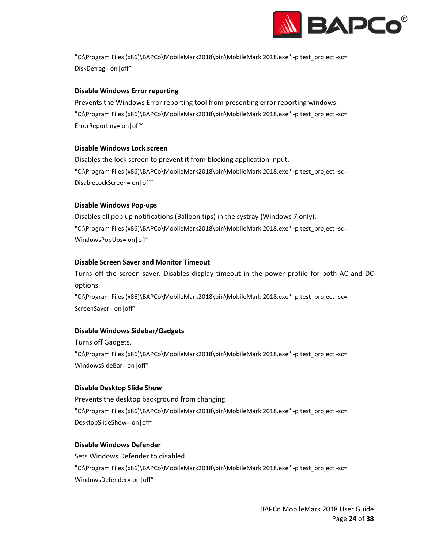

"C:\Program Files (x86)\BAPCo\MobileMark2018\bin\MobileMark 2018.exe" -p test\_project -sc= DiskDefrag= on|off"

#### **Disable Windows Error reporting**

Prevents the Windows Error reporting tool from presenting error reporting windows. "C:\Program Files (x86)\BAPCo\MobileMark2018\bin\MobileMark 2018.exe" -p test\_project -sc= ErrorReporting= on|off"

#### **Disable Windows Lock screen**

Disables the lock screen to prevent it from blocking application input. "C:\Program Files (x86)\BAPCo\MobileMark2018\bin\MobileMark 2018.exe" -p test\_project -sc= DisableLockScreen= on | off"

#### **Disable Windows Pop-ups**

Disables all pop up notifications (Balloon tips) in the systray (Windows 7 only). "C:\Program Files (x86)\BAPCo\MobileMark2018\bin\MobileMark 2018.exe" -p test\_project -sc= WindowsPopUps= on|off"

#### **Disable Screen Saver and Monitor Timeout**

Turns off the screen saver. Disables display timeout in the power profile for both AC and DC options.

"C:\Program Files (x86)\BAPCo\MobileMark2018\bin\MobileMark 2018.exe" -p test\_project -sc= ScreenSaver= on|off"

#### **Disable Windows Sidebar/Gadgets**

Turns off Gadgets.

"C:\Program Files (x86)\BAPCo\MobileMark2018\bin\MobileMark 2018.exe" -p test\_project -sc= WindowsSideBar= on | off"

#### **Disable Desktop Slide Show**

Prevents the desktop background from changing "C:\Program Files (x86)\BAPCo\MobileMark2018\bin\MobileMark 2018.exe" -p test\_project -sc= DesktopSlideShow= on | off"

#### **Disable Windows Defender**

Sets Windows Defender to disabled.

"C:\Program Files (x86)\BAPCo\MobileMark2018\bin\MobileMark 2018.exe" -p test\_project -sc= WindowsDefender= on | off"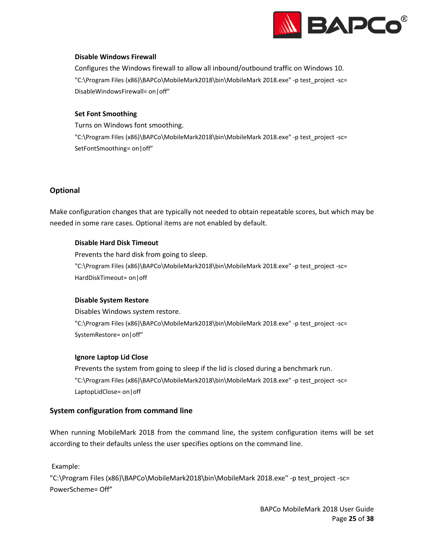

#### **Disable Windows Firewall**

Configures the Windows firewall to allow all inbound/outbound traffic on Windows 10. "C:\Program Files (x86)\BAPCo\MobileMark2018\bin\MobileMark 2018.exe" -p test\_project -sc= DisableWindowsFirewall= on | off"

#### **Set Font Smoothing**

Turns on Windows font smoothing.

"C:\Program Files (x86)\BAPCo\MobileMark2018\bin\MobileMark 2018.exe" -p test\_project -sc= SetFontSmoothing= on|off"

#### <span id="page-24-0"></span>**Optional**

Make configuration changes that are typically not needed to obtain repeatable scores, but which may be needed in some rare cases. Optional items are not enabled by default.

#### **Disable Hard Disk Timeout**

Prevents the hard disk from going to sleep. "C:\Program Files (x86)\BAPCo\MobileMark2018\bin\MobileMark 2018.exe" -p test\_project -sc= HardDiskTimeout= on|off

#### **Disable System Restore**

Disables Windows system restore. "C:\Program Files (x86)\BAPCo\MobileMark2018\bin\MobileMark 2018.exe" -p test\_project -sc= SystemRestore= on|off"

#### **Ignore Laptop Lid Close**

Prevents the system from going to sleep if the lid is closed during a benchmark run. "C:\Program Files (x86)\BAPCo\MobileMark2018\bin\MobileMark 2018.exe" -p test\_project -sc= LaptopLidClose= on|off

#### <span id="page-24-1"></span>**System configuration from command line**

When running MobileMark 2018 from the command line, the system configuration items will be set according to their defaults unless the user specifies options on the command line.

Example:

"C:\Program Files (x86)\BAPCo\MobileMark2018\bin\MobileMark 2018.exe" -p test\_project -sc= PowerScheme= Off"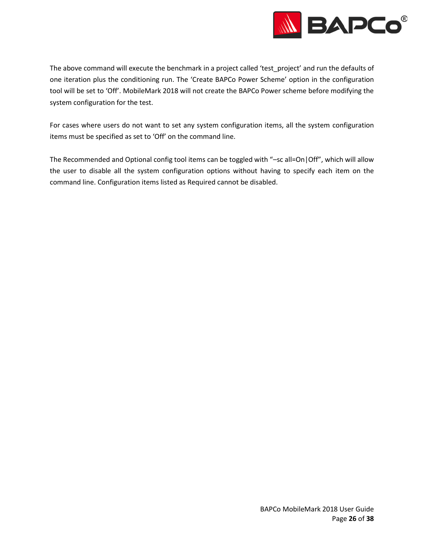

The above command will execute the benchmark in a project called 'test\_project' and run the defaults of one iteration plus the conditioning run. The 'Create BAPCo Power Scheme' option in the configuration tool will be set to 'Off'. MobileMark 2018 will not create the BAPCo Power scheme before modifying the system configuration for the test.

For cases where users do not want to set any system configuration items, all the system configuration items must be specified as set to 'Off' on the command line.

The Recommended and Optional config tool items can be toggled with "–sc all=On|Off", which will allow the user to disable all the system configuration options without having to specify each item on the command line. Configuration items listed as Required cannot be disabled.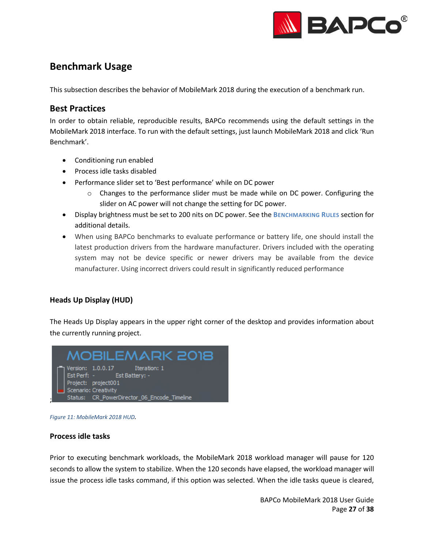

## <span id="page-26-0"></span>**Benchmark Usage**

This subsection describes the behavior of MobileMark 2018 during the execution of a benchmark run.

#### <span id="page-26-1"></span>**Best Practices**

In order to obtain reliable, reproducible results, BAPCo recommends using the default settings in the MobileMark 2018 interface. To run with the default settings, just launch MobileMark 2018 and click 'Run Benchmark'.

- Conditioning run enabled
- Process idle tasks disabled
- Performance slider set to 'Best performance' while on DC power
	- o Changes to the performance slider must be made while on DC power. Configuring the slider on AC power will not change the setting for DC power.
- Display brightness must be set to 200 nits on DC power. See the **B[ENCHMARKING](#page-32-0) RULES** section for additional details.
- When using BAPCo benchmarks to evaluate performance or battery life, one should install the latest production drivers from the hardware manufacturer. Drivers included with the operating system may not be device specific or newer drivers may be available from the device manufacturer. Using incorrect drivers could result in significantly reduced performance

#### <span id="page-26-2"></span>**Heads Up Display (HUD)**

The Heads Up Display appears in the upper right corner of the desktop and provides information about the currently running project.





#### <span id="page-26-3"></span>**Process idle tasks**

Prior to executing benchmark workloads, the MobileMark 2018 workload manager will pause for 120 seconds to allow the system to stabilize. When the 120 seconds have elapsed, the workload manager will issue the process idle tasks command, if this option was selected. When the idle tasks queue is cleared,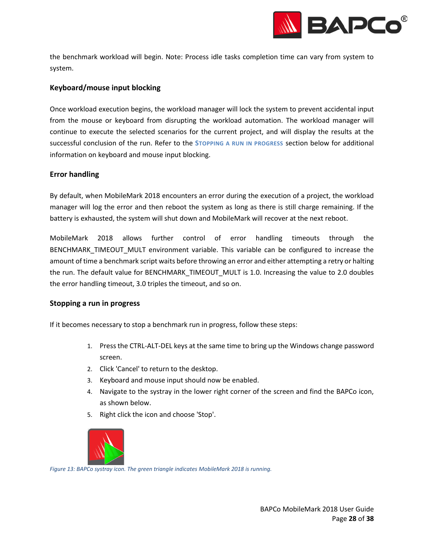

the benchmark workload will begin. Note: Process idle tasks completion time can vary from system to system.

#### <span id="page-27-0"></span>**Keyboard/mouse input blocking**

Once workload execution begins, the workload manager will lock the system to prevent accidental input from the mouse or keyboard from disrupting the workload automation. The workload manager will continue to execute the selected scenarios for the current project, and will display the results at the successful conclusion of the run. Refer to the **S[TOPPING A RUN IN PROGRESS](#page-27-2)** section below for additional information on keyboard and mouse input blocking.

#### <span id="page-27-1"></span>**Error handling**

By default, when MobileMark 2018 encounters an error during the execution of a project, the workload manager will log the error and then reboot the system as long as there is still charge remaining. If the battery is exhausted, the system will shut down and MobileMark will recover at the next reboot.

MobileMark 2018 allows further control of error handling timeouts through the BENCHMARK\_TIMEOUT\_MULT environment variable. This variable can be configured to increase the amount of time a benchmark script waits before throwing an error and either attempting a retry or halting the run. The default value for BENCHMARK\_TIMEOUT\_MULT is 1.0. Increasing the value to 2.0 doubles the error handling timeout, 3.0 triples the timeout, and so on.

#### <span id="page-27-2"></span>**Stopping a run in progress**

If it becomes necessary to stop a benchmark run in progress, follow these steps:

- 1. Press the CTRL-ALT-DEL keys at the same time to bring up the Windows change password screen.
- 2. Click 'Cancel' to return to the desktop.
- 3. Keyboard and mouse input should now be enabled.
- 4. Navigate to the systray in the lower right corner of the screen and find the BAPCo icon, as shown below.
- 5. Right click the icon and choose 'Stop'.



*Figure 13: BAPCo systray icon. The green triangle indicates MobileMark 2018 is running.*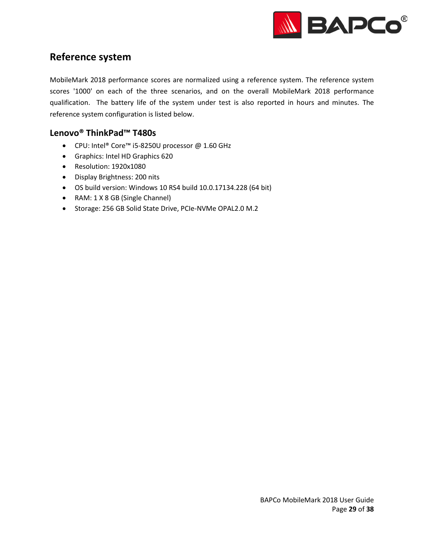

## <span id="page-28-0"></span>**Reference system**

MobileMark 2018 performance scores are normalized using a reference system. The reference system scores '1000' on each of the three scenarios, and on the overall MobileMark 2018 performance qualification. The battery life of the system under test is also reported in hours and minutes. The reference system configuration is listed below.

## <span id="page-28-1"></span>**Lenovo® ThinkPad™ T480s**

- CPU: Intel® Core™ i5-8250U processor @ 1.60 GHz
- Graphics: Intel HD Graphics 620
- Resolution: 1920x1080
- Display Brightness: 200 nits
- OS build version: Windows 10 RS4 build 10.0.17134.228 (64 bit)
- RAM: 1 X 8 GB (Single Channel)
- Storage: 256 GB Solid State Drive, PCIe-NVMe OPAL2.0 M.2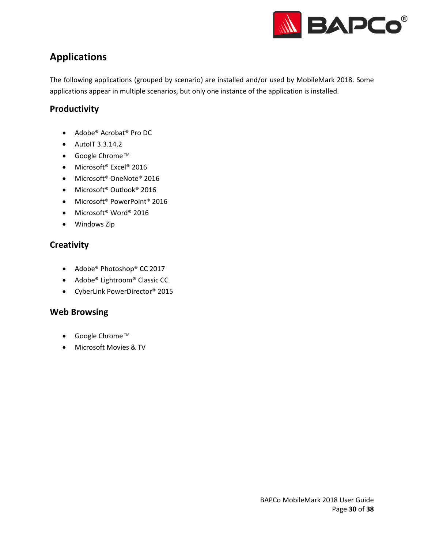

## <span id="page-29-0"></span>**Applications**

The following applications (grouped by scenario) are installed and/or used by MobileMark 2018. Some applications appear in multiple scenarios, but only one instance of the application is installed.

## <span id="page-29-1"></span>**Productivity**

- Adobe® Acrobat® Pro DC
- AutoIT 3.3.14.2
- Google Chrome™
- Microsoft® Excel® 2016
- Microsoft® OneNote® 2016
- Microsoft® Outlook® 2016
- Microsoft® PowerPoint® 2016
- Microsoft® Word® 2016
- Windows Zip

## <span id="page-29-2"></span>**Creativity**

- Adobe® Photoshop® CC 2017
- Adobe® Lightroom® Classic CC
- CyberLink PowerDirector® 2015

#### <span id="page-29-3"></span>**Web Browsing**

- Google Chrome™
- Microsoft Movies & TV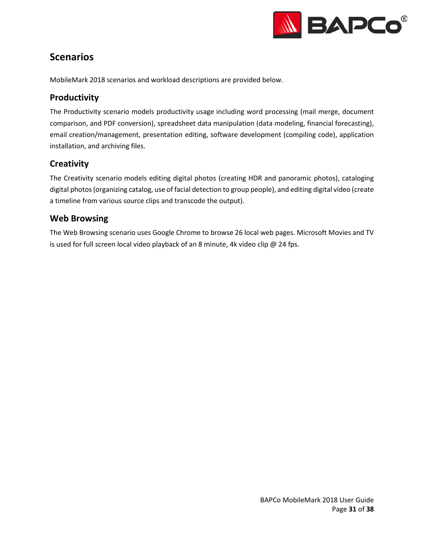

## <span id="page-30-0"></span>**Scenarios**

MobileMark 2018 scenarios and workload descriptions are provided below.

## <span id="page-30-1"></span>**Productivity**

The Productivity scenario models productivity usage including word processing (mail merge, document comparison, and PDF conversion), spreadsheet data manipulation (data modeling, financial forecasting), email creation/management, presentation editing, software development (compiling code), application installation, and archiving files.

## <span id="page-30-2"></span>**Creativity**

The Creativity scenario models editing digital photos (creating HDR and panoramic photos), cataloging digital photos (organizing catalog, use of facial detection to group people), and editing digital video (create a timeline from various source clips and transcode the output).

## <span id="page-30-3"></span>**Web Browsing**

The Web Browsing scenario uses Google Chrome to browse 26 local web pages. Microsoft Movies and TV is used for full screen local video playback of an 8 minute, 4k video clip  $@$  24 fps.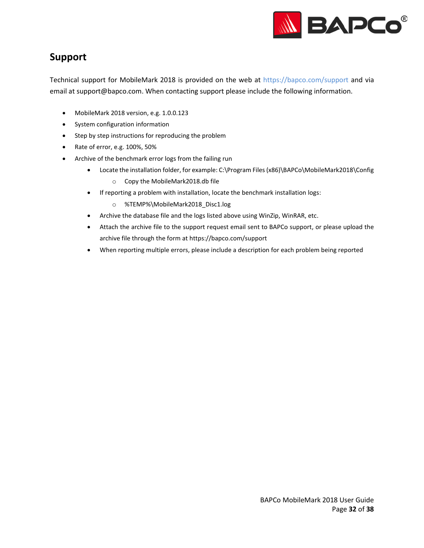

## <span id="page-31-0"></span>**Support**

Technical support for MobileMark 2018 is provided on the web at<https://bapco.com/support> and via email at support@bapco.com. When contacting support please include the following information.

- MobileMark 2018 version, e.g. 1.0.0.123
- System configuration information
- Step by step instructions for reproducing the problem
- Rate of error, e.g. 100%, 50%
- Archive of the benchmark error logs from the failing run
	- Locate the installation folder, for example: C:\Program Files (x86)\BAPCo\MobileMark2018\Config
		- o Copy the MobileMark2018.db file
	- If reporting a problem with installation, locate the benchmark installation logs:
		- o %TEMP%\MobileMark2018\_Disc1.log
	- Archive the database file and the logs listed above using WinZip, WinRAR, etc.
	- Attach the archive file to the support request email sent to BAPCo support, or please upload the archive file through the form at https://bapco.com/support
	- When reporting multiple errors, please include a description for each problem being reported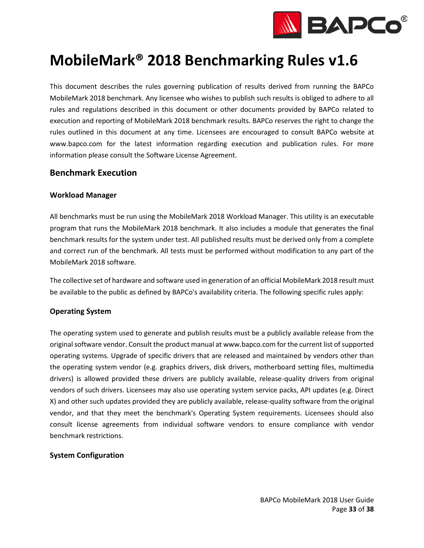

## <span id="page-32-0"></span>**MobileMark® 2018 Benchmarking Rules v1.6**

This document describes the rules governing publication of results derived from running the BAPCo MobileMark 2018 benchmark. Any licensee who wishes to publish such results is obliged to adhere to all rules and regulations described in this document or other documents provided by BAPCo related to execution and reporting of MobileMark 2018 benchmark results. BAPCo reserves the right to change the rules outlined in this document at any time. Licensees are encouraged to consult BAPCo website at www.bapco.com for the latest information regarding execution and publication rules. For more information please consult the Software License Agreement.

#### <span id="page-32-1"></span>**Benchmark Execution**

#### <span id="page-32-2"></span>**Workload Manager**

All benchmarks must be run using the MobileMark 2018 Workload Manager. This utility is an executable program that runs the MobileMark 2018 benchmark. It also includes a module that generates the final benchmark results for the system under test. All published results must be derived only from a complete and correct run of the benchmark. All tests must be performed without modification to any part of the MobileMark 2018 software.

The collective set of hardware and software used in generation of an official MobileMark 2018 result must be available to the public as defined by BAPCo's availability criteria. The following specific rules apply:

#### <span id="page-32-3"></span>**Operating System**

The operating system used to generate and publish results must be a publicly available release from the original software vendor. Consult the product manual at www.bapco.com for the current list of supported operating systems. Upgrade of specific drivers that are released and maintained by vendors other than the operating system vendor (e.g. graphics drivers, disk drivers, motherboard setting files, multimedia drivers) is allowed provided these drivers are publicly available, release-quality drivers from original vendors of such drivers. Licensees may also use operating system service packs, API updates (e.g. Direct X) and other such updates provided they are publicly available, release-quality software from the original vendor, and that they meet the benchmark's Operating System requirements. Licensees should also consult license agreements from individual software vendors to ensure compliance with vendor benchmark restrictions.

#### <span id="page-32-4"></span>**System Configuration**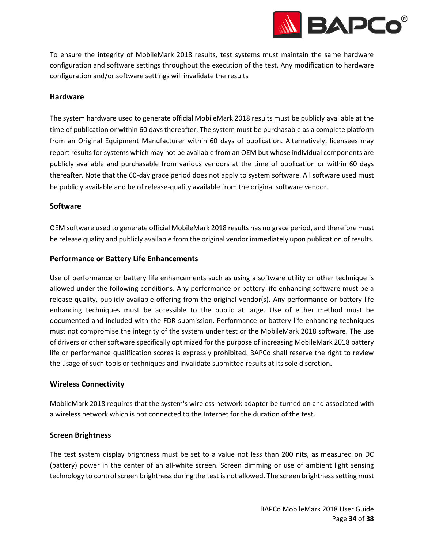

To ensure the integrity of MobileMark 2018 results, test systems must maintain the same hardware configuration and software settings throughout the execution of the test. Any modification to hardware configuration and/or software settings will invalidate the results

#### <span id="page-33-0"></span>**Hardware**

The system hardware used to generate official MobileMark 2018 results must be publicly available at the time of publication or within 60 days thereafter. The system must be purchasable as a complete platform from an Original Equipment Manufacturer within 60 days of publication. Alternatively, licensees may report results for systems which may not be available from an OEM but whose individual components are publicly available and purchasable from various vendors at the time of publication or within 60 days thereafter. Note that the 60-day grace period does not apply to system software. All software used must be publicly available and be of release-quality available from the original software vendor.

#### <span id="page-33-1"></span>**Software**

OEM software used to generate official MobileMark 2018 results has no grace period, and therefore must be release quality and publicly available from the original vendor immediately upon publication of results.

#### <span id="page-33-2"></span>**Performance or Battery Life Enhancements**

Use of performance or battery life enhancements such as using a software utility or other technique is allowed under the following conditions. Any performance or battery life enhancing software must be a release-quality, publicly available offering from the original vendor(s). Any performance or battery life enhancing techniques must be accessible to the public at large. Use of either method must be documented and included with the FDR submission. Performance or battery life enhancing techniques must not compromise the integrity of the system under test or the MobileMark 2018 software. The use of drivers or other software specifically optimized for the purpose of increasing MobileMark 2018 battery life or performance qualification scores is expressly prohibited. BAPCo shall reserve the right to review the usage of such tools or techniques and invalidate submitted results at its sole discretion**.**

#### <span id="page-33-3"></span>**Wireless Connectivity**

MobileMark 2018 requires that the system's wireless network adapter be turned on and associated with a wireless network which is not connected to the Internet for the duration of the test.

#### <span id="page-33-4"></span>**Screen Brightness**

The test system display brightness must be set to a value not less than 200 nits, as measured on DC (battery) power in the center of an all-white screen. Screen dimming or use of ambient light sensing technology to control screen brightness during the test is not allowed. The screen brightness setting must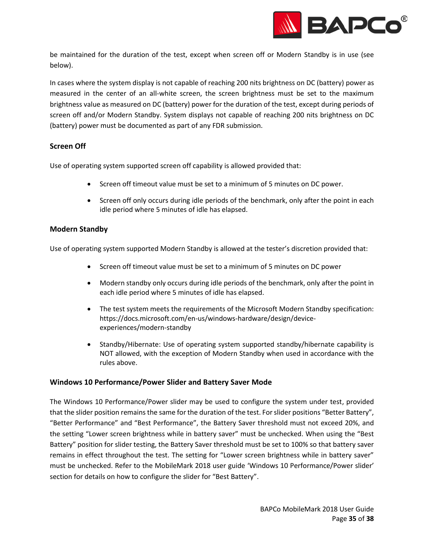

be maintained for the duration of the test, except when screen off or Modern Standby is in use (see below).

In cases where the system display is not capable of reaching 200 nits brightness on DC (battery) power as measured in the center of an all-white screen, the screen brightness must be set to the maximum brightness value as measured on DC (battery) power for the duration of the test, except during periods of screen off and/or Modern Standby. System displays not capable of reaching 200 nits brightness on DC (battery) power must be documented as part of any FDR submission.

#### <span id="page-34-0"></span>**Screen Off**

Use of operating system supported screen off capability is allowed provided that:

- Screen off timeout value must be set to a minimum of 5 minutes on DC power.
- Screen off only occurs during idle periods of the benchmark, only after the point in each idle period where 5 minutes of idle has elapsed.

#### <span id="page-34-1"></span>**Modern Standby**

Use of operating system supported Modern Standby is allowed at the tester's discretion provided that:

- Screen off timeout value must be set to a minimum of 5 minutes on DC power
- Modern standby only occurs during idle periods of the benchmark, only after the point in each idle period where 5 minutes of idle has elapsed.
- The test system meets the requirements of the Microsoft Modern Standby specification: https://docs.microsoft.com/en-us/windows-hardware/design/deviceexperiences/modern-standby
- Standby/Hibernate: Use of operating system supported standby/hibernate capability is NOT allowed, with the exception of Modern Standby when used in accordance with the rules above.

#### <span id="page-34-2"></span>**Windows 10 Performance/Power Slider and Battery Saver Mode**

The Windows 10 Performance/Power slider may be used to configure the system under test, provided that the slider position remains the same for the duration of the test. For slider positions "Better Battery", "Better Performance" and "Best Performance", the Battery Saver threshold must not exceed 20%, and the setting "Lower screen brightness while in battery saver" must be unchecked. When using the "Best Battery" position for slider testing, the Battery Saver threshold must be set to 100% so that battery saver remains in effect throughout the test. The setting for "Lower screen brightness while in battery saver" must be unchecked. Refer to the MobileMark 2018 user guide 'Windows 10 Performance/Power slider' section for details on how to configure the slider for "Best Battery".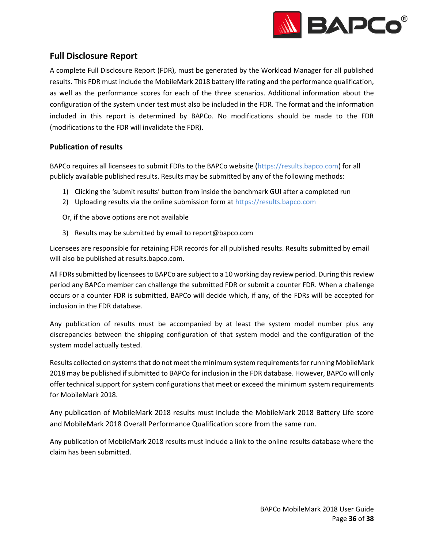

## <span id="page-35-0"></span>**Full Disclosure Report**

A complete Full Disclosure Report (FDR), must be generated by the Workload Manager for all published results. This FDR must include the MobileMark 2018 battery life rating and the performance qualification, as well as the performance scores for each of the three scenarios. Additional information about the configuration of the system under test must also be included in the FDR. The format and the information included in this report is determined by BAPCo. No modifications should be made to the FDR (modifications to the FDR will invalidate the FDR).

#### <span id="page-35-1"></span>**Publication of results**

BAPCo requires all licensees to submit FDRs to the BAPCo website [\(https://results.bapco.com\)](https://results.bapco.com/) for all publicly available published results. Results may be submitted by any of the following methods:

- 1) Clicking the 'submit results' button from inside the benchmark GUI after a completed run
- 2) Uploading results via the online submission form a[t https://results.bapco.com](https://results.bapco.com/)
- Or, if the above options are not available
- 3) Results may be submitted by email to report@bapco.com

Licensees are responsible for retaining FDR records for all published results. Results submitted by email will also be published at results.bapco.com.

All FDRs submitted by licensees to BAPCo are subject to a 10 working day review period. During this review period any BAPCo member can challenge the submitted FDR or submit a counter FDR. When a challenge occurs or a counter FDR is submitted, BAPCo will decide which, if any, of the FDRs will be accepted for inclusion in the FDR database.

Any publication of results must be accompanied by at least the system model number plus any discrepancies between the shipping configuration of that system model and the configuration of the system model actually tested.

Results collected on systems that do not meet the minimum system requirements for running MobileMark 2018 may be published if submitted to BAPCo for inclusion in the FDR database. However, BAPCo will only offer technical support for system configurations that meet or exceed the minimum system requirements for MobileMark 2018.

Any publication of MobileMark 2018 results must include the MobileMark 2018 Battery Life score and MobileMark 2018 Overall Performance Qualification score from the same run.

Any publication of MobileMark 2018 results must include a link to the online results database where the claim has been submitted.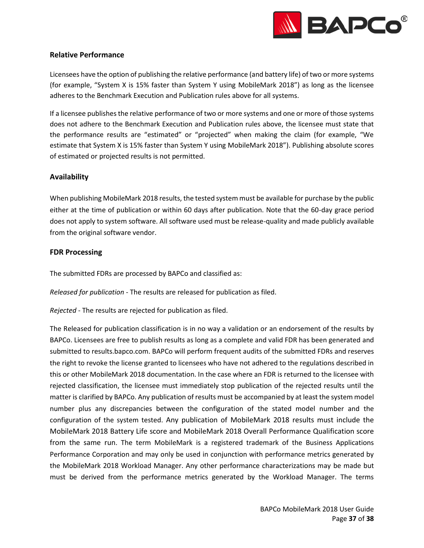

#### <span id="page-36-0"></span>**Relative Performance**

Licensees have the option of publishing the relative performance (and battery life) of two or more systems (for example, "System X is 15% faster than System Y using MobileMark 2018") as long as the licensee adheres to the Benchmark Execution and Publication rules above for all systems.

If a licensee publishes the relative performance of two or more systems and one or more of those systems does not adhere to the Benchmark Execution and Publication rules above, the licensee must state that the performance results are "estimated" or "projected" when making the claim (for example, "We estimate that System X is 15% faster than System Y using MobileMark 2018"). Publishing absolute scores of estimated or projected results is not permitted.

#### <span id="page-36-1"></span>**Availability**

When publishing MobileMark 2018 results, the tested system must be available for purchase by the public either at the time of publication or within 60 days after publication. Note that the 60-day grace period does not apply to system software. All software used must be release-quality and made publicly available from the original software vendor.

#### <span id="page-36-2"></span>**FDR Processing**

The submitted FDRs are processed by BAPCo and classified as:

*Released for publication* - The results are released for publication as filed.

*Rejected* - The results are rejected for publication as filed.

The Released for publication classification is in no way a validation or an endorsement of the results by BAPCo. Licensees are free to publish results as long as a complete and valid FDR has been generated and submitted to results.bapco.com. BAPCo will perform frequent audits of the submitted FDRs and reserves the right to revoke the license granted to licensees who have not adhered to the regulations described in this or other MobileMark 2018 documentation. In the case where an FDR is returned to the licensee with rejected classification, the licensee must immediately stop publication of the rejected results until the matter is clarified by BAPCo. Any publication of results must be accompanied by at least the system model number plus any discrepancies between the configuration of the stated model number and the configuration of the system tested. Any publication of MobileMark 2018 results must include the MobileMark 2018 Battery Life score and MobileMark 2018 Overall Performance Qualification score from the same run. The term MobileMark is a registered trademark of the Business Applications Performance Corporation and may only be used in conjunction with performance metrics generated by the MobileMark 2018 Workload Manager. Any other performance characterizations may be made but must be derived from the performance metrics generated by the Workload Manager. The terms